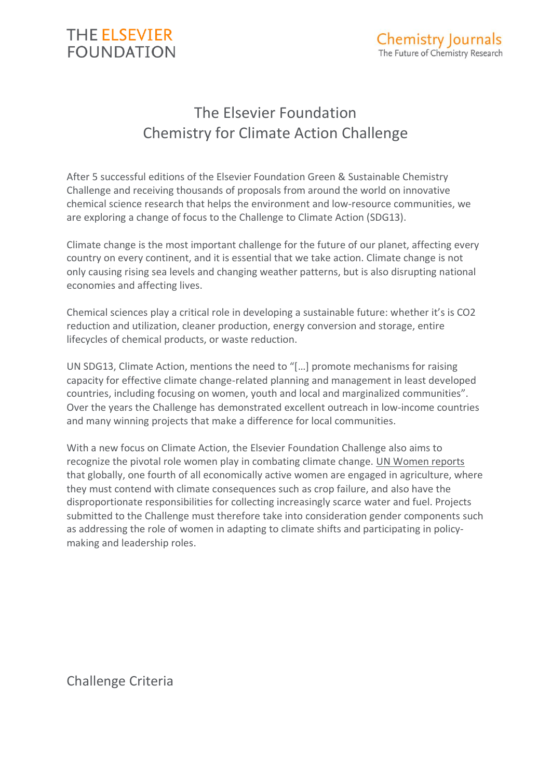

# The Elsevier Foundation Chemistry for Climate Action Challenge

After 5 successful editions of the Elsevier Foundation Green & Sustainable Chemistry Challenge and receiving thousands of proposals from around the world on innovative chemical science research that helps the environment and low-resource communities, we are exploring a change of focus to the Challenge to Climate Action (SDG13).

Climate change is the most important challenge for the future of our planet, affecting every country on every continent, and it is essential that we take action. Climate change is not only causing rising sea levels and changing weather patterns, but is also disrupting national economies and affecting lives.

Chemical sciences play a critical role in developing a sustainable future: whether it's is CO2 reduction and utilization, cleaner production, energy conversion and storage, entire lifecycles of chemical products, or waste reduction.

UN SDG13, Climate Action, mentions the need to "[…] promote mechanisms for raising capacity for effective climate change-related planning and management in least developed countries, including focusing on women, youth and local and marginalized communities". Over the years the Challenge has demonstrated excellent outreach in low-income countries and many winning projects that make a difference for local communities.

With a new focus on Climate Action, the Elsevier Foundation Challenge also aims to recognize the pivotal role women play in combating climate change. [UN Women reports](https://www.unwomen.org/en/news/in-focus/women-and-the-sdgs/sdg-13-climate-action) that globally, one fourth of all economically active women are engaged in agriculture, where they must contend with climate consequences such as crop failure, and also have the disproportionate responsibilities for collecting increasingly scarce water and fuel. Projects submitted to the Challenge must therefore take into consideration gender components such as addressing the role of women in adapting to climate shifts and participating in policymaking and leadership roles.

Challenge Criteria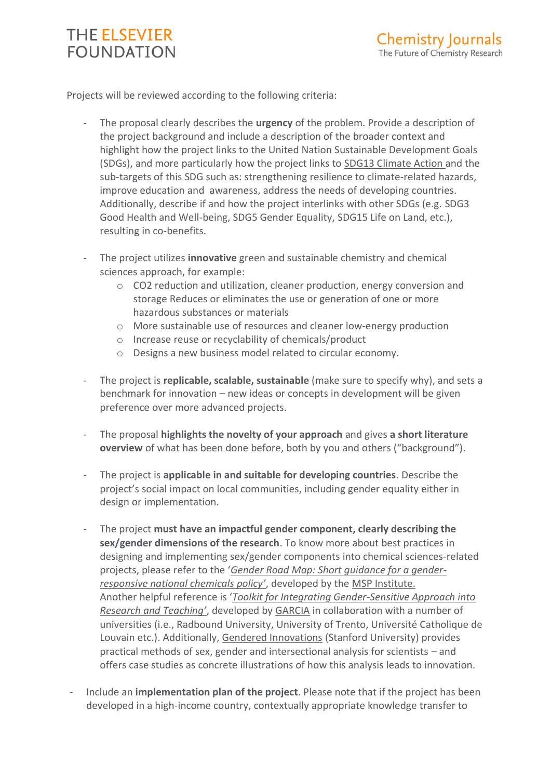## **THE ELSEVIER FOUNDATION**

Projects will be reviewed according to the following criteria:

- The proposal clearly describes the **urgency** of the problem. Provide a description of the project background and include a description of the broader context and highlight how the project links to the United Nation Sustainable Development Goals (SDGs), and more particularly how the project links to [SDG13 Climate Action](https://www.un.org/sustainabledevelopment/climate-change/) and the sub-targets of this SDG such as: strengthening resilience to climate-related hazards, improve education and awareness, address the needs of developing countries. Additionally, describe if and how the project interlinks with other SDGs (e.g. SDG3 Good Health and Well-being, SDG5 Gender Equality, SDG15 Life on Land, etc.), resulting in co-benefits.
- The project utilizes **innovative** green and sustainable chemistry and chemical sciences approach, for example:
	- o CO2 reduction and utilization, cleaner production, energy conversion and storage Reduces or eliminates the use or generation of one or more hazardous substances or materials
	- o More sustainable use of resources and cleaner low-energy production
	- o Increase reuse or recyclability of chemicals/product
	- o Designs a new business model related to circular economy.
- The project is **replicable, scalable, sustainable** (make sure to specify why), and sets a benchmark for innovation – new ideas or concepts in development will be given preference over more advanced projects.
- The proposal **highlights the novelty of your approach** and gives **a short literature overview** of what has been done before, both by you and others ("background").
- The project is **applicable in and suitable for developing countries**. Describe the project's social impact on local communities, including gender equality either in design or implementation.
- The project **must have an impactful gender component, clearly describing the sex/gender dimensions of the research**. To know more about best practices in designing and implementing sex/gender components into chemical sciences-related projects, please refer to the '*[Gender Road Map: Short guidance for a gender](http://gender-chemicals.org/issues)[responsive national chemicals policy'](http://gender-chemicals.org/issues)*, developed by the [MSP Institute.](http://msp-institute.org/) Another helpful reference is '*[Toolkit for Integrating Gender-Sensitive Approach into](https://eige.europa.eu/sites/default/files/garcia_toolkit_gender_research_teaching.pdf)  [Research and Teaching'](https://eige.europa.eu/sites/default/files/garcia_toolkit_gender_research_teaching.pdf)*, developed by [GARCIA](http://garciaproject.eu/) in collaboration with a number of universities (i.e., Radbound University, University of Trento, Université Catholique de Louvain etc.). Additionally, [Gendered Innovations](https://genderedinnovations.stanford.edu/) (Stanford University) provides practical methods of sex, gender and intersectional analysis for scientists – and offers case studies as concrete illustrations of how this analysis leads to innovation.
- Include an **implementation plan of the project**. Please note that if the project has been developed in a high-income country, contextually appropriate knowledge transfer to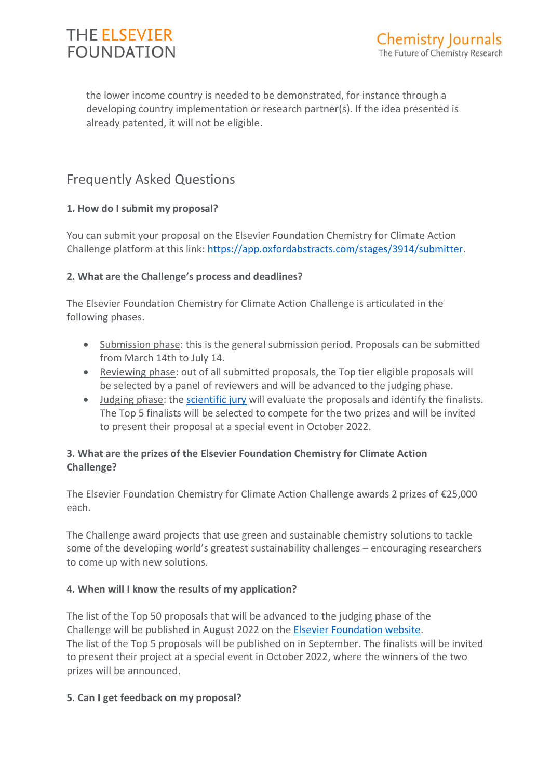

the lower income country is needed to be demonstrated, for instance through a developing country implementation or research partner(s). If the idea presented is already patented, it will not be eligible.

## Frequently Asked Questions

## **1. How do I submit my proposal?**

You can submit your proposal on the Elsevier Foundation Chemistry for Climate Action Challenge platform at this link: [https://app.oxfordabstracts.com/stages/3914/submitter.](https://app.oxfordabstracts.com/stages/3914/submitter)

## **2. What are the Challenge's process and deadlines?**

The Elsevier Foundation Chemistry for Climate Action Challenge is articulated in the following phases.

- Submission phase: this is the general submission period. Proposals can be submitted from March 14th to July 14.
- Reviewing phase: out of all submitted proposals, the Top tier eligible proposals will be selected by a panel of reviewers and will be advanced to the judging phase.
- Judging phase: the [scientific jury](https://www.elsevierfoundation.org/programs/research-in-developing-countries/greenchem/judging-panel/) will evaluate the proposals and identify the finalists. The Top 5 finalists will be selected to compete for the two prizes and will be invited to present their proposal at a special event in October 2022.

## **3. What are the prizes of the Elsevier Foundation Chemistry for Climate Action Challenge?**

The Elsevier Foundation Chemistry for Climate Action Challenge awards 2 prizes of €25,000 each.

The Challenge award projects that use green and sustainable chemistry solutions to tackle some of the developing world's greatest sustainability challenges – encouraging researchers to come up with new solutions.

### **4. When will I know the results of my application?**

The list of the Top 50 proposals that will be advanced to the judging phase of the Challenge will be published in August 2022 on the [Elsevier Foundation website.](https://www.elsevierfoundation.org/programs/research-in-developing-countries/greenchem/) The list of the Top 5 proposals will be published on in September. The finalists will be invited to present their project at a special event in October 2022, where the winners of the two prizes will be announced.

### **5. Can I get feedback on my proposal?**